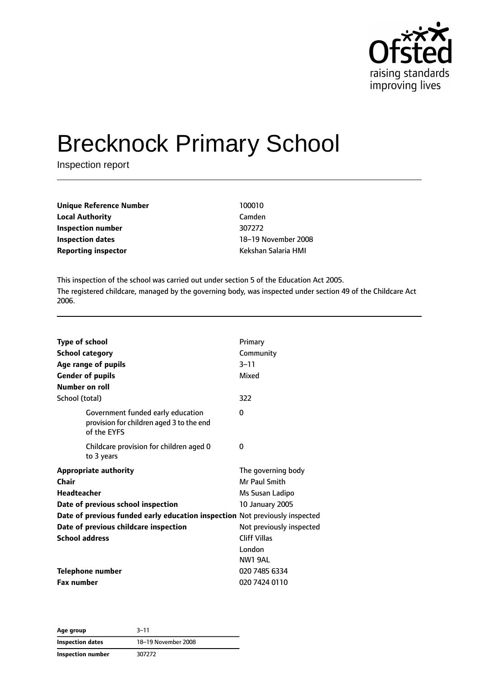

# Brecknock Primary School

Inspection report

| Unique Reference Number    | 100010              |
|----------------------------|---------------------|
| Local Authority            | Camden              |
| Inspection number          | 307272              |
| Inspection dates           | 18-19 November 2008 |
| <b>Reporting inspector</b> | Kekshan Salaria HMI |
|                            |                     |

This inspection of the school was carried out under section 5 of the Education Act 2005. The registered childcare, managed by the governing body, was inspected under section 49 of the Childcare Act 2006.

| <b>Type of school</b><br><b>School category</b>                                              | Primary<br>Community     |
|----------------------------------------------------------------------------------------------|--------------------------|
| Age range of pupils                                                                          | $3 - 11$                 |
| <b>Gender of pupils</b>                                                                      | Mixed                    |
| <b>Number on roll</b>                                                                        |                          |
| School (total)                                                                               | 322                      |
| Government funded early education<br>provision for children aged 3 to the end<br>of the EYFS | 0                        |
| Childcare provision for children aged 0<br>to 3 years                                        | 0                        |
| <b>Appropriate authority</b>                                                                 | The governing body       |
| Chair                                                                                        | Mr Paul Smith            |
| <b>Headteacher</b>                                                                           | Ms Susan Ladipo          |
| Date of previous school inspection                                                           | <b>10 January 2005</b>   |
| Date of previous funded early education inspection Not previously inspected                  |                          |
| Date of previous childcare inspection                                                        | Not previously inspected |
| <b>School address</b>                                                                        | <b>Cliff Villas</b>      |
|                                                                                              | London                   |
|                                                                                              | <b>NW1 9AL</b>           |
| <b>Telephone number</b>                                                                      | 020 7485 6334            |
| <b>Fax number</b>                                                                            | 020 7424 0110            |

**Age group** 3–11 **Inspection dates** 18–19 November 2008 **Inspection number** 307272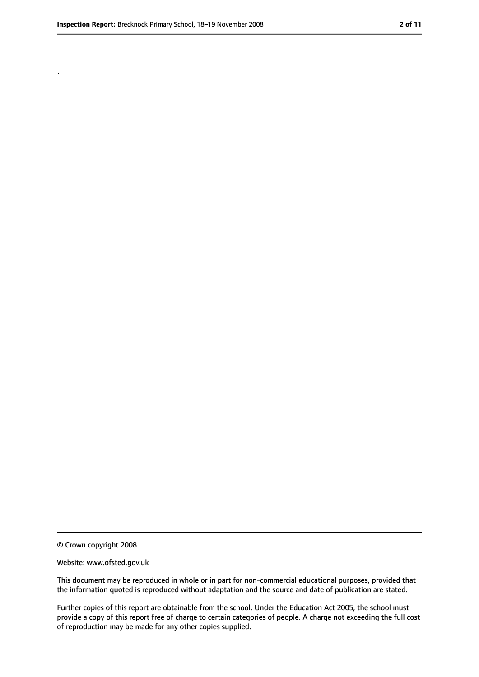.

<sup>©</sup> Crown copyright 2008

Website: www.ofsted.gov.uk

This document may be reproduced in whole or in part for non-commercial educational purposes, provided that the information quoted is reproduced without adaptation and the source and date of publication are stated.

Further copies of this report are obtainable from the school. Under the Education Act 2005, the school must provide a copy of this report free of charge to certain categories of people. A charge not exceeding the full cost of reproduction may be made for any other copies supplied.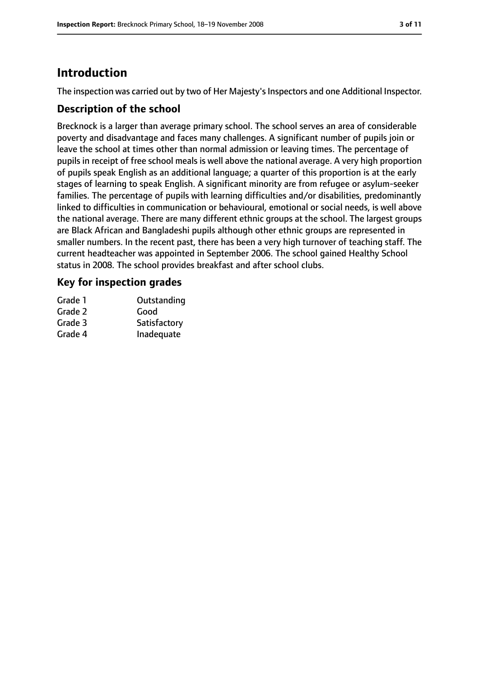# **Introduction**

The inspection was carried out by two of Her Majesty's Inspectors and one Additional Inspector.

### **Description of the school**

Brecknock is a larger than average primary school. The school serves an area of considerable poverty and disadvantage and faces many challenges. A significant number of pupils join or leave the school at times other than normal admission or leaving times. The percentage of pupils in receipt of free school meals is well above the national average. A very high proportion of pupils speak English as an additional language; a quarter of this proportion is at the early stages of learning to speak English. A significant minority are from refugee or asylum-seeker families. The percentage of pupils with learning difficulties and/or disabilities, predominantly linked to difficulties in communication or behavioural, emotional or social needs, is well above the national average. There are many different ethnic groups at the school. The largest groups are Black African and Bangladeshi pupils although other ethnic groups are represented in smaller numbers. In the recent past, there has been a very high turnover of teaching staff. The current headteacher was appointed in September 2006. The school gained Healthy School status in 2008. The school provides breakfast and after school clubs.

#### **Key for inspection grades**

| Grade 1 | Outstanding  |
|---------|--------------|
| Grade 2 | Good         |
| Grade 3 | Satisfactory |
| Grade 4 | Inadequate   |
|         |              |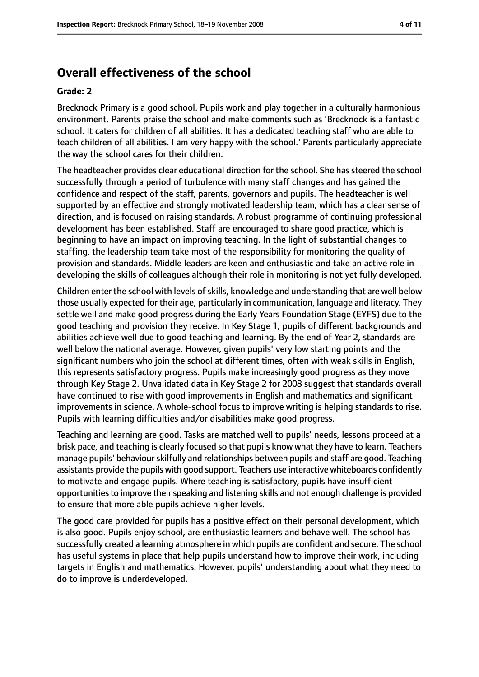# **Overall effectiveness of the school**

#### **Grade: 2**

Brecknock Primary is a good school. Pupils work and play together in a culturally harmonious environment. Parents praise the school and make comments such as 'Brecknock is a fantastic school. It caters for children of all abilities. It has a dedicated teaching staff who are able to teach children of all abilities. I am very happy with the school.' Parents particularly appreciate the way the school cares for their children.

The headteacher provides clear educational direction for the school. She has steered the school successfully through a period of turbulence with many staff changes and has gained the confidence and respect of the staff, parents, governors and pupils. The headteacher is well supported by an effective and strongly motivated leadership team, which has a clear sense of direction, and is focused on raising standards. A robust programme of continuing professional development has been established. Staff are encouraged to share good practice, which is beginning to have an impact on improving teaching. In the light of substantial changes to staffing, the leadership team take most of the responsibility for monitoring the quality of provision and standards. Middle leaders are keen and enthusiastic and take an active role in developing the skills of colleagues although their role in monitoring is not yet fully developed.

Children enter the school with levels of skills, knowledge and understanding that are well below those usually expected for their age, particularly in communication, language and literacy. They settle well and make good progress during the Early Years Foundation Stage (EYFS) due to the good teaching and provision they receive. In Key Stage 1, pupils of different backgrounds and abilities achieve well due to good teaching and learning. By the end of Year 2, standards are well below the national average. However, given pupils' very low starting points and the significant numbers who join the school at different times, often with weak skills in English, this represents satisfactory progress. Pupils make increasingly good progress as they move through Key Stage 2. Unvalidated data in Key Stage 2 for 2008 suggest that standards overall have continued to rise with good improvements in English and mathematics and significant improvements in science. A whole-school focus to improve writing is helping standards to rise. Pupils with learning difficulties and/or disabilities make good progress.

Teaching and learning are good. Tasks are matched well to pupils' needs, lessons proceed at a brisk pace, and teaching is clearly focused so that pupils know what they have to learn. Teachers manage pupils' behaviour skilfully and relationships between pupils and staff are good. Teaching assistants provide the pupils with good support. Teachers use interactive whiteboards confidently to motivate and engage pupils. Where teaching is satisfactory, pupils have insufficient opportunities to improve their speaking and listening skills and not enough challenge is provided to ensure that more able pupils achieve higher levels.

The good care provided for pupils has a positive effect on their personal development, which is also good. Pupils enjoy school, are enthusiastic learners and behave well. The school has successfully created a learning atmosphere in which pupils are confident and secure. The school has useful systems in place that help pupils understand how to improve their work, including targets in English and mathematics. However, pupils' understanding about what they need to do to improve is underdeveloped.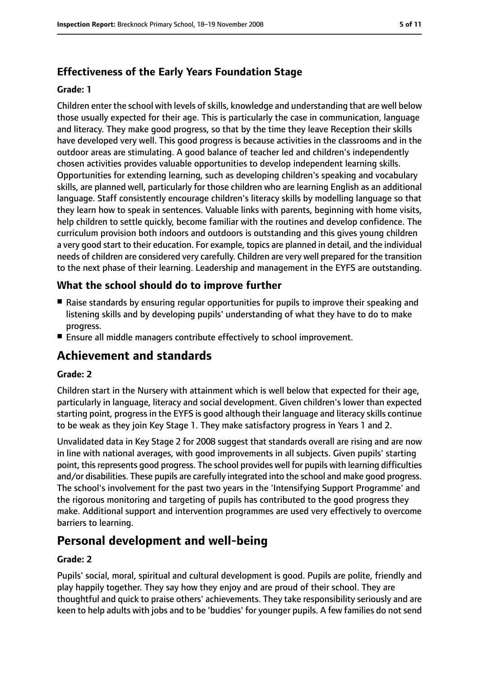# **Effectiveness of the Early Years Foundation Stage**

#### **Grade: 1**

Children enter the school with levels of skills, knowledge and understanding that are well below those usually expected for their age. This is particularly the case in communication, language and literacy. They make good progress, so that by the time they leave Reception their skills have developed very well. This good progress is because activities in the classrooms and in the outdoor areas are stimulating. A good balance of teacher led and children's independently chosen activities provides valuable opportunities to develop independent learning skills. Opportunities for extending learning, such as developing children's speaking and vocabulary skills, are planned well, particularly for those children who are learning English as an additional language. Staff consistently encourage children's literacy skills by modelling language so that they learn how to speak in sentences. Valuable links with parents, beginning with home visits, help children to settle quickly, become familiar with the routines and develop confidence. The curriculum provision both indoors and outdoors is outstanding and this gives young children a very good start to their education. For example, topics are planned in detail, and the individual needs of children are considered very carefully. Children are very well prepared for the transition to the next phase of their learning. Leadership and management in the EYFS are outstanding.

#### **What the school should do to improve further**

- Raise standards by ensuring regular opportunities for pupils to improve their speaking and listening skills and by developing pupils' understanding of what they have to do to make progress.
- Ensure all middle managers contribute effectively to school improvement.

# **Achievement and standards**

#### **Grade: 2**

Children start in the Nursery with attainment which is well below that expected for their age, particularly in language, literacy and social development. Given children's lower than expected starting point, progress in the EYFS is good although their language and literacy skills continue to be weak as they join Key Stage 1. They make satisfactory progress in Years 1 and 2.

Unvalidated data in Key Stage 2 for 2008 suggest that standards overall are rising and are now in line with national averages, with good improvements in all subjects. Given pupils' starting point, this represents good progress. The school provides well for pupils with learning difficulties and/or disabilities. These pupils are carefully integrated into the school and make good progress. The school's involvement for the past two years in the 'Intensifying Support Programme' and the rigorous monitoring and targeting of pupils has contributed to the good progress they make. Additional support and intervention programmes are used very effectively to overcome barriers to learning.

# **Personal development and well-being**

#### **Grade: 2**

Pupils' social, moral, spiritual and cultural development is good. Pupils are polite, friendly and play happily together. They say how they enjoy and are proud of their school. They are thoughtful and quick to praise others' achievements. They take responsibility seriously and are keen to help adults with jobs and to be 'buddies' for younger pupils. A few families do not send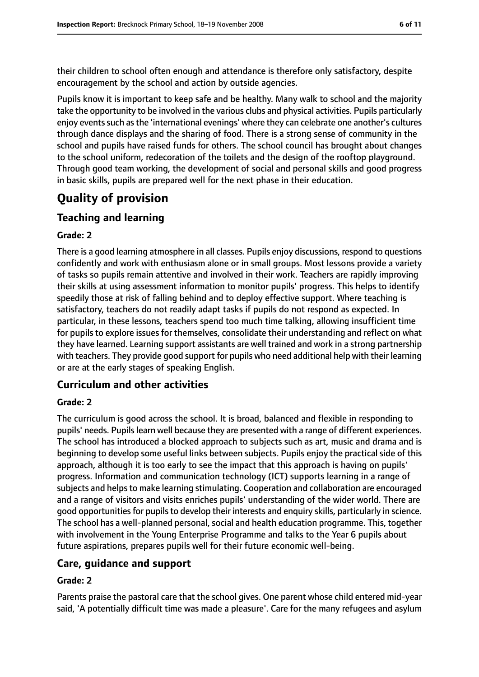their children to school often enough and attendance is therefore only satisfactory, despite encouragement by the school and action by outside agencies.

Pupils know it is important to keep safe and be healthy. Many walk to school and the majority take the opportunity to be involved in the various clubs and physical activities. Pupils particularly enjoy events such as the 'international evenings' where they can celebrate one another's cultures through dance displays and the sharing of food. There is a strong sense of community in the school and pupils have raised funds for others. The school council has brought about changes to the school uniform, redecoration of the toilets and the design of the rooftop playground. Through good team working, the development of social and personal skills and good progress in basic skills, pupils are prepared well for the next phase in their education.

# **Quality of provision**

# **Teaching and learning**

#### **Grade: 2**

There is a good learning atmosphere in all classes. Pupils enjoy discussions, respond to questions confidently and work with enthusiasm alone or in small groups. Most lessons provide a variety of tasks so pupils remain attentive and involved in their work. Teachers are rapidly improving their skills at using assessment information to monitor pupils' progress. This helps to identify speedily those at risk of falling behind and to deploy effective support. Where teaching is satisfactory, teachers do not readily adapt tasks if pupils do not respond as expected. In particular, in these lessons, teachers spend too much time talking, allowing insufficient time for pupils to explore issues for themselves, consolidate their understanding and reflect on what they have learned. Learning support assistants are well trained and work in a strong partnership with teachers. They provide good support for pupils who need additional help with their learning or are at the early stages of speaking English.

## **Curriculum and other activities**

#### **Grade: 2**

The curriculum is good across the school. It is broad, balanced and flexible in responding to pupils' needs. Pupilslearn well because they are presented with a range of different experiences. The school has introduced a blocked approach to subjects such as art, music and drama and is beginning to develop some useful links between subjects. Pupils enjoy the practical side of this approach, although it is too early to see the impact that this approach is having on pupils' progress. Information and communication technology (ICT) supports learning in a range of subjects and helps to make learning stimulating. Cooperation and collaboration are encouraged and a range of visitors and visits enriches pupils' understanding of the wider world. There are good opportunities for pupils to develop their interests and enquiry skills, particularly in science. The school has a well-planned personal, social and health education programme. This, together with involvement in the Young Enterprise Programme and talks to the Year 6 pupils about future aspirations, prepares pupils well for their future economic well-being.

## **Care, guidance and support**

#### **Grade: 2**

Parents praise the pastoral care that the school gives. One parent whose child entered mid-year said, 'A potentially difficult time was made a pleasure'. Care for the many refugees and asylum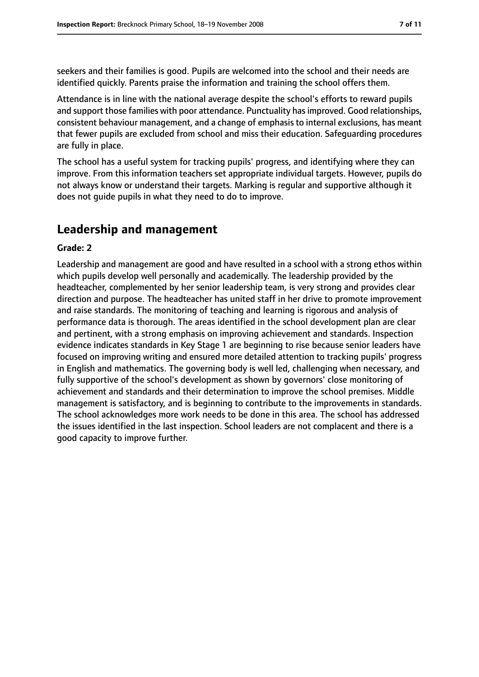seekers and their families is good. Pupils are welcomed into the school and their needs are identified quickly. Parents praise the information and training the school offers them.

Attendance is in line with the national average despite the school's efforts to reward pupils and support those families with poor attendance. Punctuality has improved. Good relationships, consistent behaviour management, and a change of emphasis to internal exclusions, has meant that fewer pupils are excluded from school and miss their education. Safeguarding procedures are fully in place.

The school has a useful system for tracking pupils' progress, and identifying where they can improve. From this information teachers set appropriate individual targets. However, pupils do not always know or understand their targets. Marking is regular and supportive although it does not guide pupils in what they need to do to improve.

# **Leadership and management**

#### **Grade: 2**

Leadership and management are good and have resulted in a school with a strong ethos within which pupils develop well personally and academically. The leadership provided by the headteacher, complemented by her senior leadership team, is very strong and provides clear direction and purpose. The headteacher has united staff in her drive to promote improvement and raise standards. The monitoring of teaching and learning is rigorous and analysis of performance data is thorough. The areas identified in the school development plan are clear and pertinent, with a strong emphasis on improving achievement and standards. Inspection evidence indicates standards in Key Stage 1 are beginning to rise because senior leaders have focused on improving writing and ensured more detailed attention to tracking pupils' progress in English and mathematics. The governing body is well led, challenging when necessary, and fully supportive of the school's development as shown by governors' close monitoring of achievement and standards and their determination to improve the school premises. Middle management is satisfactory, and is beginning to contribute to the improvements in standards. The school acknowledges more work needs to be done in this area. The school has addressed the issues identified in the last inspection. School leaders are not complacent and there is a good capacity to improve further.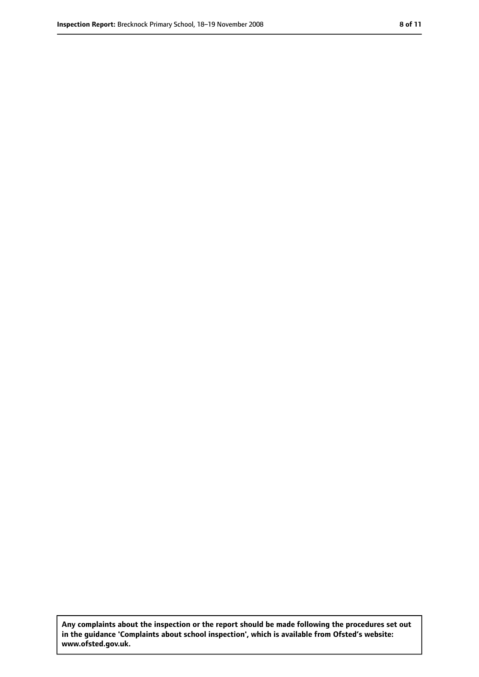**Any complaints about the inspection or the report should be made following the procedures set out in the guidance 'Complaints about school inspection', which is available from Ofsted's website: www.ofsted.gov.uk.**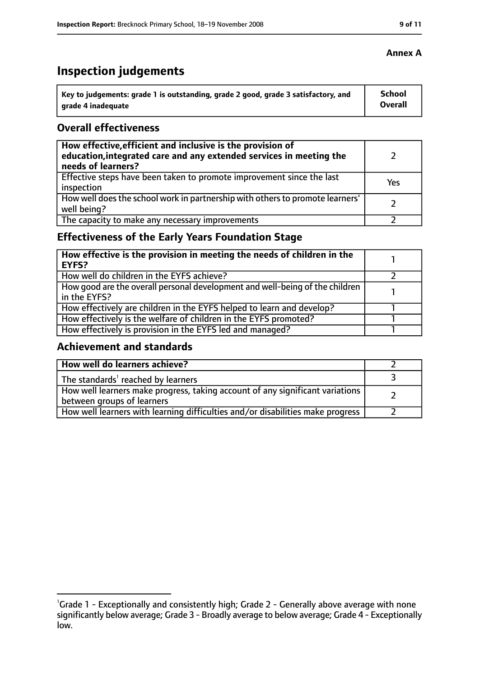# **Inspection judgements**

| Key to judgements: grade 1 is outstanding, grade 2 good, grade 3 satisfactory, and | <b>School</b>  |
|------------------------------------------------------------------------------------|----------------|
| arade 4 inadequate                                                                 | <b>Overall</b> |

#### **Overall effectiveness**

| How effective, efficient and inclusive is the provision of<br>education, integrated care and any extended services in meeting the<br>needs of learners? |     |
|---------------------------------------------------------------------------------------------------------------------------------------------------------|-----|
| Effective steps have been taken to promote improvement since the last<br>inspection                                                                     | Yes |
| How well does the school work in partnership with others to promote learners'<br>well being?                                                            |     |
| The capacity to make any necessary improvements                                                                                                         |     |

# **Effectiveness of the Early Years Foundation Stage**

| How effective is the provision in meeting the needs of children in the<br><b>EYFS?</b>       |  |
|----------------------------------------------------------------------------------------------|--|
| How well do children in the EYFS achieve?                                                    |  |
| How good are the overall personal development and well-being of the children<br>in the EYFS? |  |
| How effectively are children in the EYFS helped to learn and develop?                        |  |
| How effectively is the welfare of children in the EYFS promoted?                             |  |
| How effectively is provision in the EYFS led and managed?                                    |  |

## **Achievement and standards**

| How well do learners achieve?                                                                               |  |
|-------------------------------------------------------------------------------------------------------------|--|
| The standards <sup>1</sup> reached by learners                                                              |  |
| How well learners make progress, taking account of any significant variations<br>between groups of learners |  |
| How well learners with learning difficulties and/or disabilities make progress                              |  |

#### **Annex A**

<sup>&</sup>lt;sup>1</sup>Grade 1 - Exceptionally and consistently high; Grade 2 - Generally above average with none significantly below average; Grade 3 - Broadly average to below average; Grade 4 - Exceptionally low.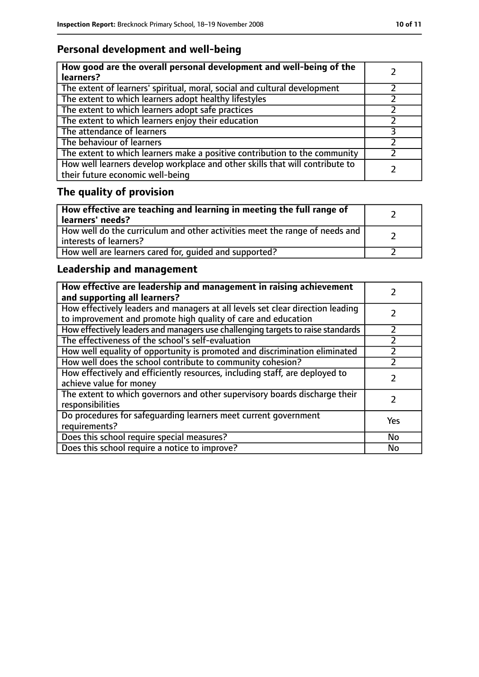# **Personal development and well-being**

| How good are the overall personal development and well-being of the<br>learners?                                 |  |
|------------------------------------------------------------------------------------------------------------------|--|
| The extent of learners' spiritual, moral, social and cultural development                                        |  |
| The extent to which learners adopt healthy lifestyles                                                            |  |
| The extent to which learners adopt safe practices                                                                |  |
| The extent to which learners enjoy their education                                                               |  |
| The attendance of learners                                                                                       |  |
| The behaviour of learners                                                                                        |  |
| The extent to which learners make a positive contribution to the community                                       |  |
| How well learners develop workplace and other skills that will contribute to<br>their future economic well-being |  |

# **The quality of provision**

| How effective are teaching and learning in meeting the full range of<br>learners' needs?              |  |
|-------------------------------------------------------------------------------------------------------|--|
| How well do the curriculum and other activities meet the range of needs and<br>interests of learners? |  |
| How well are learners cared for, quided and supported?                                                |  |

# **Leadership and management**

| How effective are leadership and management in raising achievement<br>and supporting all learners?                                              |     |
|-------------------------------------------------------------------------------------------------------------------------------------------------|-----|
| How effectively leaders and managers at all levels set clear direction leading<br>to improvement and promote high quality of care and education |     |
| How effectively leaders and managers use challenging targets to raise standards                                                                 |     |
| The effectiveness of the school's self-evaluation                                                                                               |     |
| How well equality of opportunity is promoted and discrimination eliminated                                                                      |     |
| How well does the school contribute to community cohesion?                                                                                      |     |
| How effectively and efficiently resources, including staff, are deployed to<br>achieve value for money                                          |     |
| The extent to which governors and other supervisory boards discharge their<br>responsibilities                                                  |     |
| Do procedures for safequarding learners meet current government<br>requirements?                                                                | Yes |
| Does this school require special measures?                                                                                                      | No  |
| Does this school require a notice to improve?                                                                                                   | No  |